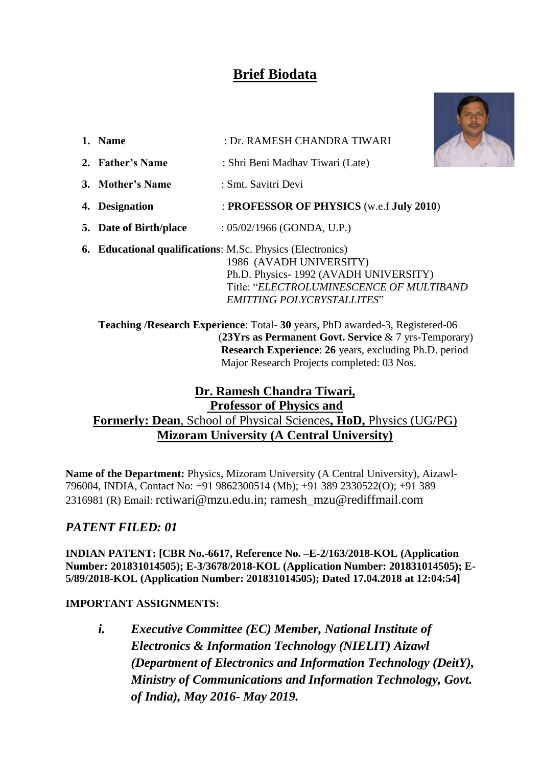# **Brief Biodata**

**1. N**<sub>m</sub>  $\mathbf{M}$  **D DAMESH CHANDRA TIWAR** 



|                                                                   |  | 1. Name                | : DE RAMESH CHANDRA TIWARI                                                                                   |  |
|-------------------------------------------------------------------|--|------------------------|--------------------------------------------------------------------------------------------------------------|--|
|                                                                   |  | 2. Father's Name       | : Shri Beni Madhav Tiwari (Late)                                                                             |  |
|                                                                   |  | 3. Mother's Name       | : Smt. Savitri Devi                                                                                          |  |
|                                                                   |  | 4. Designation         | : PROFESSOR OF PHYSICS (w.e.f July 2010)                                                                     |  |
|                                                                   |  | 5. Date of Birth/place | : $05/02/1966$ (GONDA, U.P.)                                                                                 |  |
| <b>6. Educational qualifications:</b> M.Sc. Physics (Electronics) |  |                        | 1986 (AVADH UNIVERSITY)<br>Ph.D. Physics-1992 (AVADH UNIVERSITY)<br>Title: "ELECTROLUMINESCENCE OF MULTIBAND |  |
|                                                                   |  |                        | EMITTING POLYCRYSTALLITES"                                                                                   |  |

 **Teaching /Research Experience**: Total- **30** years, PhD awarded-3, Registered-06 (**23Yrs as Permanent Govt. Service** & 7 yrs-Temporary) **Research Experience**: **26** years, excluding Ph.D. period Major Research Projects completed: 03 Nos.

### **Dr. Ramesh Chandra Tiwari, Professor of Physics and Formerly: Dean**, School of Physical Sciences**, HoD,** Physics (UG/PG) **Mizoram University (A Central University)**

**Name of the Department:** Physics, Mizoram University (A Central University), Aizawl-796004, INDIA, Contact No: +91 9862300514 (Mb); +91 389 2330522(O); +91 389 2316981 (R) Email: [rctiwari@mzu.edu.in;](mailto:rctiwari@mzu.edu.in) [ramesh\\_mzu@rediffmail.com](mailto:ramesh_mzu@rediffmail.com)

### *PATENT FILED: 01*

**INDIAN PATENT: [CBR No.-6617, Reference No. –E-2/163/2018-KOL (Application Number: 201831014505); E-3/3678/2018-KOL (Application Number: 201831014505); E-5/89/2018-KOL (Application Number: 201831014505); Dated 17.04.2018 at 12:04:54]**

### **IMPORTANT ASSIGNMENTS:**

*i. Executive Committee (EC) Member, National Institute of Electronics & Information Technology (NIELIT) Aizawl (Department of Electronics and Information Technology (DeitY), Ministry of Communications and Information Technology, Govt. of India), May 2016- May 2019.*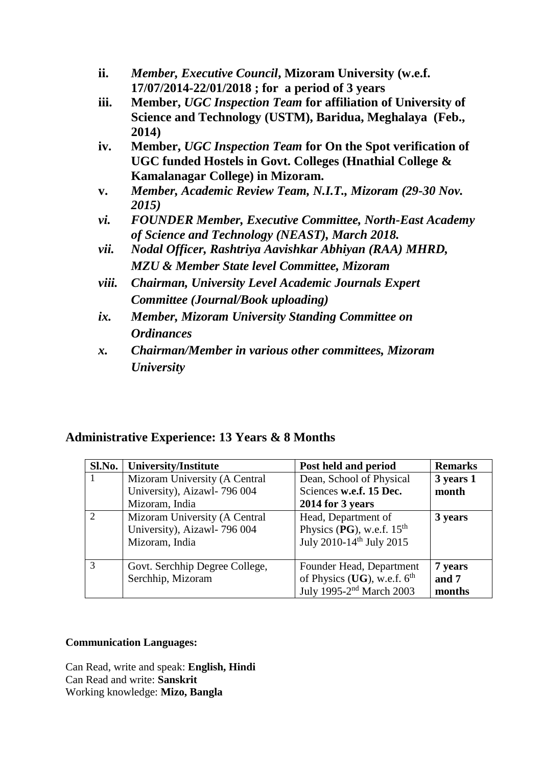- **ii.** *Member, Executive Council***, Mizoram University (w.e.f. 17/07/2014-22/01/2018 ; for a period of 3 years**
- **iii. Member,** *UGC Inspection Team* **for affiliation of University of Science and Technology (USTM), Baridua, Meghalaya (Feb., 2014)**
- **iv. Member,** *UGC Inspection Team* **for On the Spot verification of UGC funded Hostels in Govt. Colleges (Hnathial College & Kamalanagar College) in Mizoram.**
- **v.** *Member, Academic Review Team, N.I.T., Mizoram (29-30 Nov. 2015)*
- *vi. FOUNDER Member, Executive Committee, North-East Academy of Science and Technology (NEAST), March 2018.*
- *vii. Nodal Officer, Rashtriya Aavishkar Abhiyan (RAA) MHRD, MZU & Member State level Committee, Mizoram*
- *viii. Chairman, University Level Academic Journals Expert Committee (Journal/Book uploading)*
- *ix. Member, Mizoram University Standing Committee on Ordinances*
- *x. Chairman/Member in various other committees, Mizoram University*

### **Administrative Experience: 13 Years & 8 Months**

| Sl.No.        | University/Institute           | Post held and period                 | <b>Remarks</b> |
|---------------|--------------------------------|--------------------------------------|----------------|
|               | Mizoram University (A Central  | Dean, School of Physical             | 3 years 1      |
|               | University), Aizawl- 796 004   | Sciences w.e.f. 15 Dec.              | month          |
|               | Mizoram, India                 | 2014 for 3 years                     |                |
| $\mathcal{D}$ | Mizoram University (A Central  | Head, Department of                  | 3 years        |
|               | University), Aizawl- 796 004   | Physics (PG), w.e.f. $15th$          |                |
|               | Mizoram, India                 | July 2010-14 <sup>th</sup> July 2015 |                |
|               |                                |                                      |                |
| 3             | Govt. Serchhip Degree College, | Founder Head, Department             | 7 years        |
|               | Serchhip, Mizoram              | of Physics (UG), w.e.f. $6th$        | and 7          |
|               |                                | July 1995-2 <sup>nd</sup> March 2003 | months         |

#### **Communication Languages:**

Can Read, write and speak: **English, Hindi** Can Read and write: **Sanskrit** Working knowledge: **Mizo, Bangla**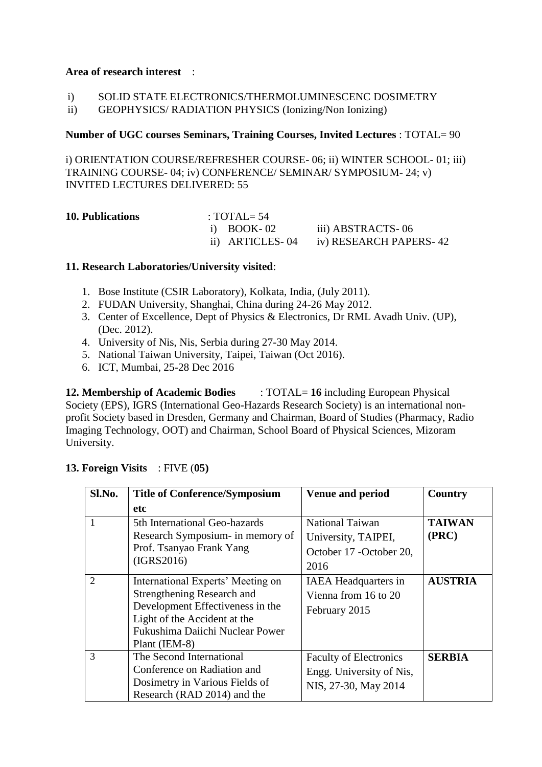#### **Area of research interest** :

| SOLID STATE ELECTRONICS/THERMOLUMINESCENC DOSIMETRY |
|-----------------------------------------------------|
|                                                     |

ii) GEOPHYSICS/ RADIATION PHYSICS (Ionizing/Non Ionizing)

#### **Number of UGC courses Seminars, Training Courses, Invited Lectures** : TOTAL= 90

i) ORIENTATION COURSE/REFRESHER COURSE- 06; ii) WINTER SCHOOL- 01; iii) TRAINING COURSE- 04; iv) CONFERENCE/ SEMINAR/ SYMPOSIUM- 24; v) INVITED LECTURES DELIVERED: 55

| <b>10. Publications</b> | : TOTAL= $54$ |                                        |
|-------------------------|---------------|----------------------------------------|
|                         | i) BOOK-02    | iii) ABSTRACTS-06                      |
|                         |               | ii) ARTICLES-04 iv) RESEARCH PAPERS-42 |

#### **11. Research Laboratories/University visited**:

- 1. Bose Institute (CSIR Laboratory), Kolkata, India, (July 2011).
- 2. FUDAN University, Shanghai, China during 24-26 May 2012.
- 3. Center of Excellence, Dept of Physics & Electronics, Dr RML Avadh Univ. (UP), (Dec. 2012).
- 4. University of Nis, Nis, Serbia during 27-30 May 2014.
- 5. National Taiwan University, Taipei, Taiwan (Oct 2016).
- 6. ICT, Mumbai, 25-28 Dec 2016

**12. Membership of Academic Bodies** : TOTAL= **16** including European Physical Society (EPS), IGRS (International Geo-Hazards Research Society) is an international nonprofit Society based in Dresden, Germany and Chairman, Board of Studies (Pharmacy, Radio Imaging Technology, OOT) and Chairman, School Board of Physical Sciences, Mizoram University.

#### **13. Foreign Visits** : FIVE (**05)**

| Sl.No.                      | <b>Title of Conference/Symposium</b>                                                                                                                                                    | <b>Venue and period</b>                                                           | <b>Country</b>         |
|-----------------------------|-----------------------------------------------------------------------------------------------------------------------------------------------------------------------------------------|-----------------------------------------------------------------------------------|------------------------|
|                             | <b>etc</b>                                                                                                                                                                              |                                                                                   |                        |
|                             | 5th International Geo-hazards<br>Research Symposium- in memory of<br>Prof. Tsanyao Frank Yang<br>(IGRS2016)                                                                             | <b>National Taiwan</b><br>University, TAIPEI,<br>October 17 - October 20,<br>2016 | <b>TAIWAN</b><br>(PRC) |
| $\mathcal{D}_{\mathcal{L}}$ | International Experts' Meeting on<br>Strengthening Research and<br>Development Effectiveness in the<br>Light of the Accident at the<br>Fukushima Daiichi Nuclear Power<br>Plant (IEM-8) | <b>IAEA</b> Headquarters in<br>Vienna from 16 to 20<br>February 2015              | <b>AUSTRIA</b>         |
| 3                           | The Second International<br>Conference on Radiation and<br>Dosimetry in Various Fields of<br>Research (RAD 2014) and the                                                                | <b>Faculty of Electronics</b><br>Engg. University of Nis,<br>NIS, 27-30, May 2014 | <b>SERBIA</b>          |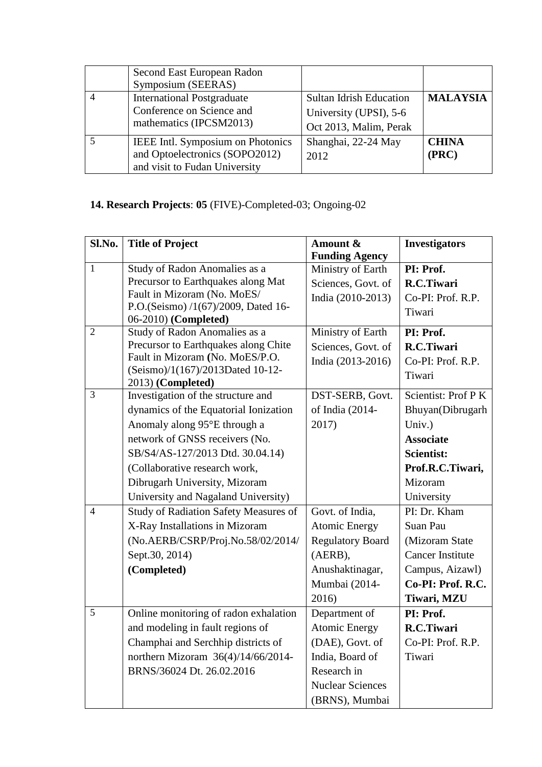| Second East European Radon<br>Symposium (SEERAS)                                                     |                                                                                    |                       |
|------------------------------------------------------------------------------------------------------|------------------------------------------------------------------------------------|-----------------------|
| <b>International Postgraduate</b><br>Conference on Science and<br>mathematics (IPCSM2013)            | <b>Sultan Idrish Education</b><br>University (UPSI), 5-6<br>Oct 2013, Malim, Perak | <b>MALAYSIA</b>       |
| IEEE Intl. Symposium on Photonics<br>and Optoelectronics (SOPO2012)<br>and visit to Fudan University | Shanghai, 22-24 May<br>2012                                                        | <b>CHINA</b><br>(PRC) |

## **14. Research Projects**: **05** (FIVE)-Completed-03; Ongoing-02

| Sl.No.         | <b>Title of Project</b>                                                 | Amount &                | <b>Investigators</b>       |
|----------------|-------------------------------------------------------------------------|-------------------------|----------------------------|
|                |                                                                         | <b>Funding Agency</b>   |                            |
| $\mathbf{1}$   | Study of Radon Anomalies as a                                           | Ministry of Earth       | PI: Prof.                  |
|                | Precursor to Earthquakes along Mat                                      | Sciences, Govt. of      | R.C.Tiwari                 |
|                | Fault in Mizoram (No. MoES/                                             | India (2010-2013)       | Co-PI: Prof. R.P.          |
|                | P.O.(Seismo) /1(67)/2009, Dated 16-                                     |                         | Tiwari                     |
| $\overline{2}$ | 06-2010) (Completed)                                                    |                         |                            |
|                | Study of Radon Anomalies as a                                           | Ministry of Earth       | PI: Prof.                  |
|                | Precursor to Earthquakes along Chite<br>Fault in Mizoram (No. MoES/P.O. | Sciences, Govt. of      | R.C.Tiwari                 |
|                | (Seismo)/1(167)/2013Dated 10-12-                                        | India (2013-2016)       | Co-PI: Prof. R.P.          |
|                | 2013) (Completed)                                                       |                         | Tiwari                     |
| $\overline{3}$ | Investigation of the structure and                                      | DST-SERB, Govt.         | Scientist: Prof P K        |
|                | dynamics of the Equatorial Ionization                                   | of India (2014-         | Bhuyan(Dibrugarh           |
|                | Anomaly along 95°E through a                                            | 2017)                   | Univ.)                     |
|                | network of GNSS receivers (No.                                          |                         | <b>Associate</b>           |
|                | SB/S4/AS-127/2013 Dtd. 30.04.14)                                        |                         | Scientist:                 |
|                | (Collaborative research work,                                           |                         | Prof.R.C.Tiwari,           |
|                | Dibrugarh University, Mizoram                                           |                         | Mizoram                    |
|                | University and Nagaland University)                                     |                         | University                 |
| $\overline{4}$ | <b>Study of Radiation Safety Measures of</b>                            | Govt. of India,         | $\overline{PI}$ : Dr. Kham |
|                | X-Ray Installations in Mizoram                                          | <b>Atomic Energy</b>    | Suan Pau                   |
|                | (No.AERB/CSRP/Proj.No.58/02/2014/                                       | <b>Regulatory Board</b> | (Mizoram State             |
|                | Sept.30, 2014)                                                          | (AERB),                 | <b>Cancer Institute</b>    |
|                | (Completed)                                                             | Anushaktinagar,         | Campus, Aizawl)            |
|                |                                                                         | Mumbai (2014-           | Co-PI: Prof. R.C.          |
|                |                                                                         | 2016)                   | Tiwari, MZU                |
| 5              | Online monitoring of radon exhalation                                   | Department of           | PI: Prof.                  |
|                | and modeling in fault regions of                                        | <b>Atomic Energy</b>    | R.C.Tiwari                 |
|                | Champhai and Serchhip districts of                                      | (DAE), Govt. of         | Co-PI: Prof. R.P.          |
|                | northern Mizoram 36(4)/14/66/2014-                                      | India, Board of         | Tiwari                     |
|                | BRNS/36024 Dt. 26.02.2016                                               | Research in             |                            |
|                |                                                                         | <b>Nuclear Sciences</b> |                            |
|                |                                                                         | (BRNS), Mumbai          |                            |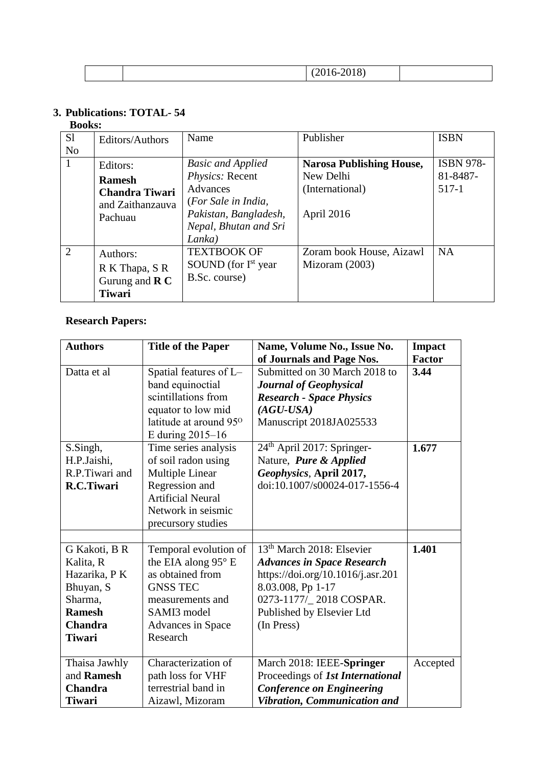|--|--|

## **3. Publications: TOTAL- 54**

#### **Books:**

| S1<br>N <sub>o</sub> | Editors/Authors                                                                   | Name                                                                                                                                       | Publisher                                                                     | <b>ISBN</b>                             |
|----------------------|-----------------------------------------------------------------------------------|--------------------------------------------------------------------------------------------------------------------------------------------|-------------------------------------------------------------------------------|-----------------------------------------|
| 1                    | Editors:<br><b>Ramesh</b><br><b>Chandra Tiwari</b><br>and Zaithanzauva<br>Pachuau | <b>Basic and Applied</b><br>Physics: Recent<br>Advances<br>(For Sale in India,<br>Pakistan, Bangladesh,<br>Nepal, Bhutan and Sri<br>Lanka) | <b>Narosa Publishing House,</b><br>New Delhi<br>(International)<br>April 2016 | <b>ISBN 978-</b><br>81-8487-<br>$517-1$ |
| $\overline{2}$       | Authors:<br>R K Thapa, S R<br>Gurung and $\bf{R}$ $\bf{C}$<br><b>Tiwari</b>       | <b>TEXTBOOK OF</b><br>SOUND (for $Ist$ year<br>B.Sc. course)                                                                               | Zoram book House, Aizawl<br>Mizoram $(2003)$                                  | <b>NA</b>                               |

### **Research Papers:**

| <b>Authors</b> | <b>Title of the Paper</b>          | Name, Volume No., Issue No.            | <b>Impact</b> |
|----------------|------------------------------------|----------------------------------------|---------------|
|                |                                    | of Journals and Page Nos.              | <b>Factor</b> |
| Datta et al    | Spatial features of L-             | Submitted on 30 March 2018 to          | 3.44          |
|                | band equinoctial                   | <b>Journal of Geophysical</b>          |               |
|                | scintillations from                | <b>Research - Space Physics</b>        |               |
|                | equator to low mid                 | $(AGU-USA)$                            |               |
|                | latitude at around 95 <sup>o</sup> | Manuscript 2018JA025533                |               |
|                | E during 2015–16                   |                                        |               |
| S.Singh,       | Time series analysis               | 24 <sup>th</sup> April 2017: Springer- | 1.677         |
| H.P.Jaishi,    | of soil radon using                | Nature, <i>Pure &amp; Applied</i>      |               |
| R.P.Tiwari and | <b>Multiple Linear</b>             | Geophysics, April 2017,                |               |
| R.C.Tiwari     | Regression and                     | doi:10.1007/s00024-017-1556-4          |               |
|                | <b>Artificial Neural</b>           |                                        |               |
|                | Network in seismic                 |                                        |               |
|                | precursory studies                 |                                        |               |
|                |                                    |                                        |               |
| G Kakoti, B R  | Temporal evolution of              | 13 <sup>th</sup> March 2018: Elsevier  | 1.401         |
| Kalita, R      | the EIA along 95° E                | <b>Advances in Space Research</b>      |               |
| Hazarika, PK   | as obtained from                   | https://doi.org/10.1016/j.asr.201      |               |
| Bhuyan, S      | <b>GNSS TEC</b>                    | 8.03.008, Pp 1-17                      |               |
| Sharma.        | measurements and                   | 0273-1177/_2018 COSPAR.                |               |
| <b>Ramesh</b>  | SAMI3 model                        | Published by Elsevier Ltd              |               |
| <b>Chandra</b> | Advances in Space                  | (In Press)                             |               |
| <b>Tiwari</b>  | Research                           |                                        |               |
|                |                                    |                                        |               |
| Thaisa Jawhly  | Characterization of                | March 2018: IEEE-Springer              | Accepted      |
| and Ramesh     | path loss for VHF                  | Proceedings of 1st International       |               |
| <b>Chandra</b> | terrestrial band in                | <b>Conference on Engineering</b>       |               |
| <b>Tiwari</b>  | Aizawl, Mizoram                    | Vibration, Communication and           |               |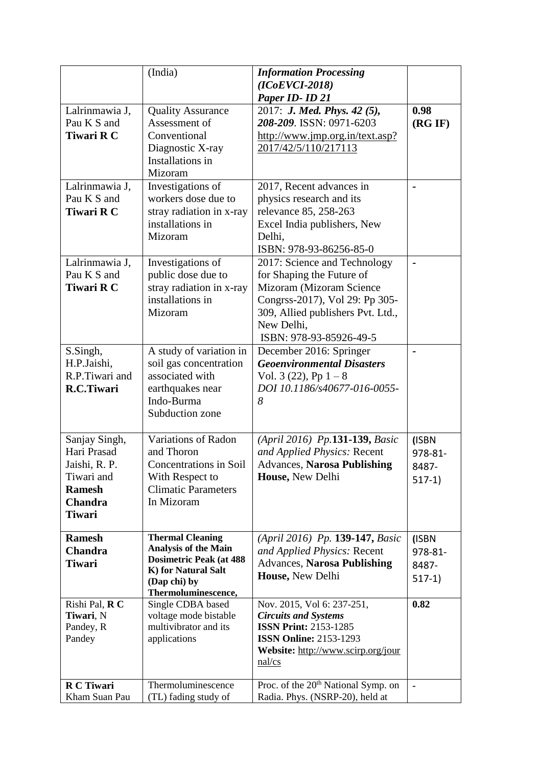|                   | (India)                                  | <b>Information Processing</b>                   |          |
|-------------------|------------------------------------------|-------------------------------------------------|----------|
|                   |                                          | $(ICoEVCI-2018)$                                |          |
|                   |                                          | Paper ID- ID 21                                 |          |
| Lalrinmawia J,    | <b>Quality Assurance</b>                 | 2017: J. Med. Phys. 42 (5),                     | 0.98     |
| Pau K S and       | Assessment of                            | 208-209. ISSN: 0971-6203                        | (RG IF)  |
| <b>Tiwari R C</b> | Conventional                             | http://www.jmp.org.in/text.asp?                 |          |
|                   | Diagnostic X-ray                         | 2017/42/5/110/217113                            |          |
|                   | Installations in                         |                                                 |          |
|                   | Mizoram                                  |                                                 |          |
| Lalrinmawia J,    | Investigations of                        | 2017, Recent advances in                        |          |
| Pau K S and       | workers dose due to                      | physics research and its                        |          |
| <b>Tiwari R C</b> | stray radiation in x-ray                 | relevance 85, 258-263                           |          |
|                   | installations in                         | Excel India publishers, New                     |          |
|                   | Mizoram                                  | Delhi,                                          |          |
|                   |                                          | ISBN: 978-93-86256-85-0                         |          |
| Lalrinmawia J,    | Investigations of                        | 2017: Science and Technology                    |          |
| Pau K S and       | public dose due to                       | for Shaping the Future of                       |          |
| Tiwari R C        | stray radiation in x-ray                 | Mizoram (Mizoram Science                        |          |
|                   | installations in                         | Congrss-2017), Vol 29: Pp 305-                  |          |
|                   | Mizoram                                  | 309, Allied publishers Pvt. Ltd.,               |          |
|                   |                                          | New Delhi,                                      |          |
|                   |                                          | ISBN: 978-93-85926-49-5                         |          |
| S.Singh,          | A study of variation in                  | December 2016: Springer                         |          |
| H.P.Jaishi,       | soil gas concentration                   | <b>Geoenvironmental Disasters</b>               |          |
| R.P.Tiwari and    | associated with                          | Vol. 3 $(22)$ , Pp $1-8$                        |          |
| R.C.Tiwari        | earthquakes near                         | DOI 10.1186/s40677-016-0055-                    |          |
|                   | Indo-Burma                               | 8                                               |          |
|                   | Subduction zone                          |                                                 |          |
|                   |                                          |                                                 |          |
| Sanjay Singh,     | Variations of Radon                      | (April 2016) Pp.131-139, Basic                  | (ISBN    |
| Hari Prasad       | and Thoron                               | and Applied Physics: Recent                     | 978-81-  |
| Jaishi, R. P.     | <b>Concentrations in Soil</b>            | <b>Advances, Narosa Publishing</b>              | 8487-    |
| Tiwari and        | With Respect to                          | House, New Delhi                                | $517-1)$ |
| <b>Ramesh</b>     | <b>Climatic Parameters</b>               |                                                 |          |
| Chandra           | In Mizoram                               |                                                 |          |
| <b>Tiwari</b>     |                                          |                                                 |          |
| <b>Ramesh</b>     | <b>Thermal Cleaning</b>                  | (April 2016) Pp. 139-147, Basic                 | (ISBN    |
| <b>Chandra</b>    | <b>Analysis of the Main</b>              | and Applied Physics: Recent                     | 978-81-  |
| <b>Tiwari</b>     | <b>Dosimetric Peak (at 488</b>           | <b>Advances, Narosa Publishing</b>              | 8487-    |
|                   | K) for Natural Salt                      | House, New Delhi                                |          |
|                   | (Dap chi) by                             |                                                 | $517-1)$ |
| Rishi Pal, R C    | Thermoluminescence,<br>Single CDBA based | Nov. 2015, Vol 6: 237-251,                      | 0.82     |
| Tiwari, N         | voltage mode bistable                    | <b>Circuits and Systems</b>                     |          |
| Pandey, R         | multivibrator and its                    | <b>ISSN Print: 2153-1285</b>                    |          |
| Pandey            | applications                             | <b>ISSN Online: 2153-1293</b>                   |          |
|                   |                                          | Website: http://www.scirp.org/jour              |          |
|                   |                                          | nal/cs                                          |          |
|                   |                                          |                                                 |          |
| R C Tiwari        | Thermoluminescence                       | Proc. of the 20 <sup>th</sup> National Symp. on |          |
| Kham Suan Pau     | (TL) fading study of                     | Radia. Phys. (NSRP-20), held at                 |          |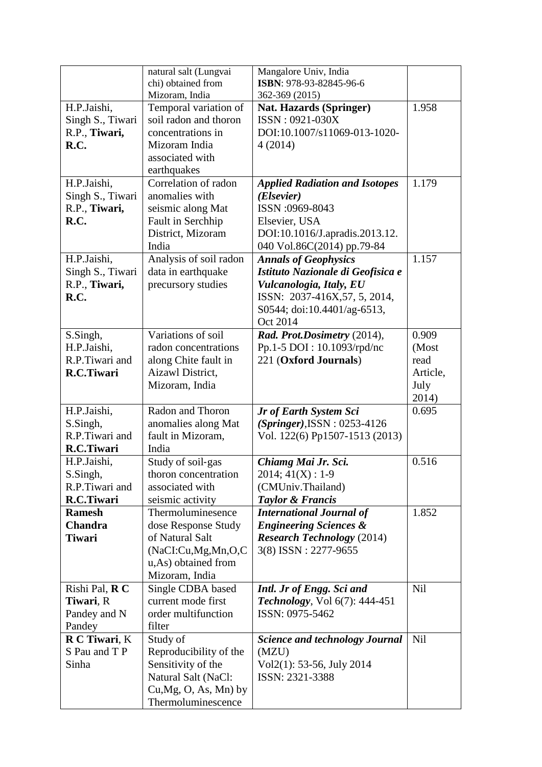|                  | natural salt (Lungvai<br>chi) obtained from | Mangalore Univ, India<br>ISBN: 978-93-82845-96-6 |            |
|------------------|---------------------------------------------|--------------------------------------------------|------------|
|                  | Mizoram, India                              | 362-369 (2015)                                   |            |
| H.P.Jaishi,      | Temporal variation of                       | <b>Nat. Hazards (Springer)</b>                   | 1.958      |
| Singh S., Tiwari | soil radon and thoron                       | ISSN: 0921-030X                                  |            |
| R.P., Tiwari,    | concentrations in                           | DOI:10.1007/s11069-013-1020-                     |            |
| R.C.             | Mizoram India                               | 4(2014)                                          |            |
|                  | associated with                             |                                                  |            |
|                  | earthquakes                                 |                                                  |            |
| H.P.Jaishi,      | Correlation of radon                        | <b>Applied Radiation and Isotopes</b>            | 1.179      |
| Singh S., Tiwari | anomalies with                              | ( <i>Elsevier</i> )                              |            |
| R.P., Tiwari,    | seismic along Mat                           | ISSN:0969-8043                                   |            |
| R.C.             | Fault in Serchhip                           | Elsevier, USA                                    |            |
|                  | District, Mizoram                           | DOI:10.1016/J.apradis.2013.12.                   |            |
|                  | India                                       | 040 Vol.86C(2014) pp.79-84                       |            |
| H.P.Jaishi,      | Analysis of soil radon                      | <b>Annals of Geophysics</b>                      | 1.157      |
| Singh S., Tiwari | data in earthquake                          | Istituto Nazionale di Geofisica e                |            |
| R.P., Tiwari,    | precursory studies                          | Vulcanologia, Italy, EU                          |            |
| R.C.             |                                             | ISSN: 2037-416X,57, 5, 2014,                     |            |
|                  |                                             | S0544; doi:10.4401/ag-6513,                      |            |
|                  |                                             | Oct 2014                                         |            |
| S.Singh,         | Variations of soil                          | Rad. Prot.Dosimetry (2014),                      | 0.909      |
| H.P.Jaishi,      | radon concentrations                        | Pp.1-5 DOI: 10.1093/rpd/nc                       | (Most      |
| R.P.Tiwari and   | along Chite fault in                        | 221 (Oxford Journals)                            | read       |
| R.C.Tiwari       | Aizawl District,                            |                                                  | Article,   |
|                  | Mizoram, India                              |                                                  | July       |
|                  |                                             |                                                  | 2014)      |
| H.P.Jaishi,      | Radon and Thoron                            | Jr of Earth System Sci                           | 0.695      |
| S.Singh,         | anomalies along Mat                         | $(Springer)$ , ISSN: 0253-4126                   |            |
| R.P.Tiwari and   | fault in Mizoram,                           | Vol. 122(6) Pp1507-1513 (2013)                   |            |
| R.C.Tiwari       | India                                       |                                                  |            |
| H.P.Jaishi,      | Study of soil-gas                           | Chiamg Mai Jr. Sci.                              | 0.516      |
| S.Singh,         | thoron concentration                        | $2014; 41(X): 1-9$                               |            |
| R.P.Tiwari and   | associated with                             | (CMUniv.Thailand)                                |            |
| R.C.Tiwari       | seismic activity                            | <b>Taylor &amp; Francis</b>                      |            |
| <b>Ramesh</b>    | Thermoluminesence                           | <b>International Journal of</b>                  | 1.852      |
| Chandra          | dose Response Study                         | <b>Engineering Sciences &amp;</b>                |            |
| <b>Tiwari</b>    | of Natural Salt                             | <b>Research Technology</b> (2014)                |            |
|                  | (NaCI:Cu, Mg, Mn,O,C)                       | 3(8) ISSN: 2277-9655                             |            |
|                  | u,As) obtained from                         |                                                  |            |
|                  | Mizoram, India                              |                                                  |            |
| Rishi Pal, R C   | Single CDBA based                           | Intl. Jr of Engg. Sci and                        | Nil        |
| Tiwari, R        | current mode first                          | <b>Technology</b> , Vol $6(7)$ : 444-451         |            |
| Pandey and N     | order multifunction                         | ISSN: 0975-5462                                  |            |
| Pandey           | filter                                      |                                                  |            |
| R C Tiwari, K    | Study of                                    | <b>Science and technology Journal</b>            | <b>Nil</b> |
| S Pau and T P    | Reproducibility of the                      | (MZU)                                            |            |
| Sinha            | Sensitivity of the                          | $Vol2(1)$ : 53-56, July 2014                     |            |
|                  | Natural Salt (NaCl:                         | ISSN: 2321-3388                                  |            |
|                  | $Cu, Mg, O, As, Mn)$ by                     |                                                  |            |
|                  | Thermoluminescence                          |                                                  |            |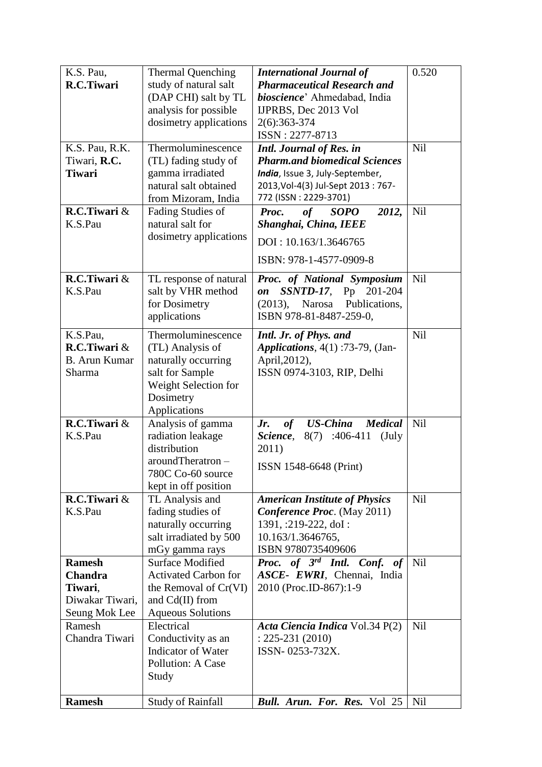| K.S. Pau,            | <b>Thermal Quenching</b>              | <b>International Journal of</b>                    | 0.520      |
|----------------------|---------------------------------------|----------------------------------------------------|------------|
| R.C.Tiwari           | study of natural salt                 | <b>Pharmaceutical Research and</b>                 |            |
|                      | (DAP CHI) salt by TL                  | bioscience' Ahmedabad, India                       |            |
|                      | analysis for possible                 | IJPRBS, Dec 2013 Vol                               |            |
|                      | dosimetry applications                | 2(6):363-374                                       |            |
|                      |                                       | ISSN: 2277-8713                                    |            |
| K.S. Pau, R.K.       | Thermoluminescence                    | <b>Intl. Journal of Res. in</b>                    | Nil        |
| Tiwari, R.C.         | (TL) fading study of                  | <b>Pharm.and biomedical Sciences</b>               |            |
| <b>Tiwari</b>        | gamma irradiated                      | India, Issue 3, July-September,                    |            |
|                      | natural salt obtained                 | 2013, Vol-4(3) Jul-Sept 2013 : 767-                |            |
|                      | from Mizoram, India                   | 772 (ISSN: 2229-3701)                              |            |
| R.C.Tiwari &         | Fading Studies of                     | of SOPO<br>Proc.<br>2012,                          | Nil        |
| K.S.Pau              | natural salt for                      | Shanghai, China, IEEE                              |            |
|                      | dosimetry applications                | DOI: 10.163/1.3646765                              |            |
|                      |                                       | ISBN: 978-1-4577-0909-8                            |            |
| R.C.Tiwari $&$       | TL response of natural                | Proc. of National Symposium                        | <b>Nil</b> |
| K.S.Pau              | salt by VHR method                    | $SSNTD-17$ , Pp 201-204<br>on                      |            |
|                      | for Dosimetry                         | Narosa Publications,<br>(2013),                    |            |
|                      | applications                          | ISBN 978-81-8487-259-0,                            |            |
| K.S.Pau,             | Thermoluminescence                    | Intl. Jr. of Phys. and                             | <b>Nil</b> |
| R.C.Tiwari $&$       | (TL) Analysis of                      | Applications, 4(1):73-79, (Jan-                    |            |
| <b>B.</b> Arun Kumar | naturally occurring                   | April, 2012),                                      |            |
| Sharma               | salt for Sample                       | ISSN 0974-3103, RIP, Delhi                         |            |
|                      | Weight Selection for                  |                                                    |            |
|                      | Dosimetry                             |                                                    |            |
|                      | Applications                          |                                                    |            |
| R.C.Tiwari &         | Analysis of gamma                     | <b>US-China</b><br>of<br><b>Medical</b><br>Jr.     | <b>Nil</b> |
| K.S.Pau              | radiation leakage                     | 8(7)<br>$:406-411$<br>Science,<br>$(\mathrm{July}$ |            |
|                      | distribution                          | 2011)                                              |            |
|                      | aroundTheratron-<br>780C Co-60 source | ISSN 1548-6648 (Print)                             |            |
|                      | kept in off position                  |                                                    |            |
| R.C.Tiwari $&$       | TL Analysis and                       | <b>American Institute of Physics</b>               | <b>Nil</b> |
| K.S.Pau              | fading studies of                     | <b>Conference Proc.</b> (May 2011)                 |            |
|                      | naturally occurring                   | 1391, :219-222, doI :                              |            |
|                      | salt irradiated by 500                | 10.163/1.3646765,                                  |            |
|                      | mGy gamma rays                        | ISBN 9780735409606                                 |            |
| <b>Ramesh</b>        | <b>Surface Modified</b>               | Proc. of 3rd Intl. Conf.<br>of                     | Nil        |
| <b>Chandra</b>       | <b>Activated Carbon for</b>           | ASCE- EWRI, Chennai, India                         |            |
| Tiwari,              | the Removal of Cr(VI)                 | 2010 (Proc.ID-867):1-9                             |            |
| Diwakar Tiwari,      | and Cd(II) from                       |                                                    |            |
| Seung Mok Lee        | <b>Aqueous Solutions</b>              |                                                    |            |
| Ramesh               | Electrical                            | Acta Ciencia Indica Vol.34 P(2)                    | Nil        |
| Chandra Tiwari       | Conductivity as an                    | $: 225 - 231 (2010)$                               |            |
|                      | Indicator of Water                    | ISSN-0253-732X.                                    |            |
|                      | <b>Pollution: A Case</b>              |                                                    |            |
|                      | Study                                 |                                                    |            |
| <b>Ramesh</b>        | <b>Study of Rainfall</b>              | <b>Bull. Arun. For. Res. Vol 25</b>                | Nil        |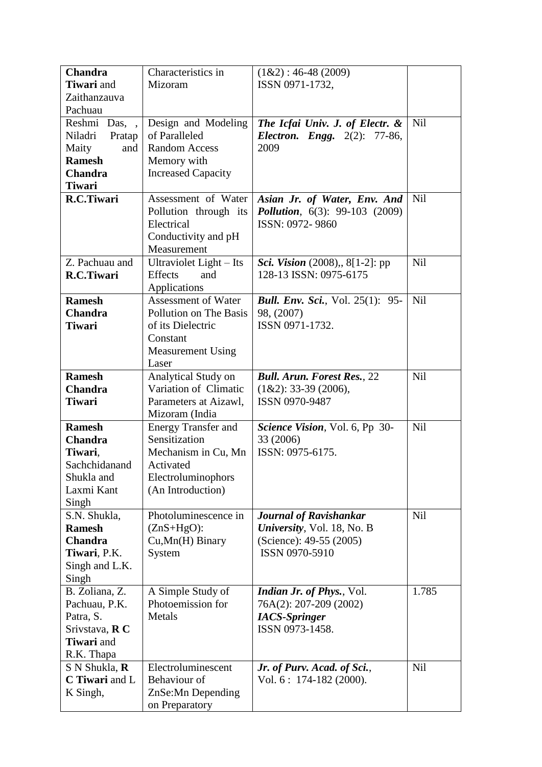| <b>Chandra</b>    | Characteristics in         | $(1&2): 46-48(2009)$                     |            |
|-------------------|----------------------------|------------------------------------------|------------|
| <b>Tiwari</b> and | Mizoram                    | ISSN 0971-1732,                          |            |
| Zaithanzauva      |                            |                                          |            |
| Pachuau           |                            |                                          |            |
| Reshmi Das, ,     | Design and Modeling        | The Icfai Univ. J. of Electr. &          | <b>Nil</b> |
| Niladri<br>Pratap | of Paralleled              | <b>Electron. Engg.</b> 2(2): 77-86,      |            |
| Maity<br>and      | <b>Random Access</b>       | 2009                                     |            |
| <b>Ramesh</b>     | Memory with                |                                          |            |
| <b>Chandra</b>    | <b>Increased Capacity</b>  |                                          |            |
| <b>Tiwari</b>     |                            |                                          |            |
| R.C.Tiwari        | Assessment of Water        | Asian Jr. of Water, Env. And             | Nil        |
|                   | Pollution through its      | <b>Pollution</b> , 6(3): 99-103 (2009)   |            |
|                   | Electrical                 | ISSN: 0972-9860                          |            |
|                   | Conductivity and pH        |                                          |            |
|                   | Measurement                |                                          |            |
| Z. Pachuau and    | Ultraviolet Light – Its    | <i>Sci. Vision</i> (2008), 8[1-2]: pp    | <b>Nil</b> |
| R.C.Tiwari        | <b>Effects</b><br>and      | 128-13 ISSN: 0975-6175                   |            |
|                   | Applications               |                                          |            |
| <b>Ramesh</b>     | <b>Assessment of Water</b> | <b>Bull. Env. Sci.</b> , Vol. 25(1): 95- | Nil        |
| <b>Chandra</b>    | Pollution on The Basis     | 98, (2007)                               |            |
| <b>Tiwari</b>     | of its Dielectric          | ISSN 0971-1732.                          |            |
|                   | Constant                   |                                          |            |
|                   | <b>Measurement Using</b>   |                                          |            |
|                   | Laser                      |                                          |            |
| <b>Ramesh</b>     | Analytical Study on        | <b>Bull. Arun. Forest Res.</b> , 22      | Nil        |
| <b>Chandra</b>    | Variation of Climatic      | $(1&2): 33-39(2006),$                    |            |
| <b>Tiwari</b>     | Parameters at Aizawl,      | ISSN 0970-9487                           |            |
|                   | Mizoram (India             |                                          |            |
| <b>Ramesh</b>     | Energy Transfer and        | Science Vision, Vol. 6, Pp 30-           | Nil        |
| <b>Chandra</b>    | Sensitization              | 33 (2006)                                |            |
| Tiwari,           | Mechanism in Cu, Mn        | ISSN: 0975-6175.                         |            |
| Sachchidanand     | Activated                  |                                          |            |
| Shukla and        | Electroluminophors         |                                          |            |
| Laxmi Kant        | (An Introduction)          |                                          |            |
| Singh             |                            |                                          |            |
| S.N. Shukla,      | Photoluminescence in       | <b>Journal of Ravishankar</b>            | Nil        |
| <b>Ramesh</b>     | $(ZnS+HgO)$ :              | University, Vol. 18, No. B               |            |
| <b>Chandra</b>    | Cu, Mn(H) Binary           | (Science): 49-55 (2005)                  |            |
| Tiwari, P.K.      | System                     | ISSN 0970-5910                           |            |
| Singh and L.K.    |                            |                                          |            |
| Singh             |                            |                                          |            |
| B. Zoliana, Z.    | A Simple Study of          | <b>Indian Jr. of Phys.</b> , Vol.        | 1.785      |
| Pachuau, P.K.     | Photoemission for          | 76A(2): 207-209 (2002)                   |            |
| Patra, S.         | Metals                     | <b>IACS-Springer</b>                     |            |
| Srivstava, R C    |                            | ISSN 0973-1458.                          |            |
| Tiwari and        |                            |                                          |            |
| R.K. Thapa        |                            |                                          |            |
| S N Shukla, R     | Electroluminescent         | Jr. of Purv. Acad. of Sci.,              | Nil        |
| C Tiwari and L    | Behaviour of               | Vol. $6: 174-182$ (2000).                |            |
| K Singh,          | ZnSe: Mn Depending         |                                          |            |
|                   | on Preparatory             |                                          |            |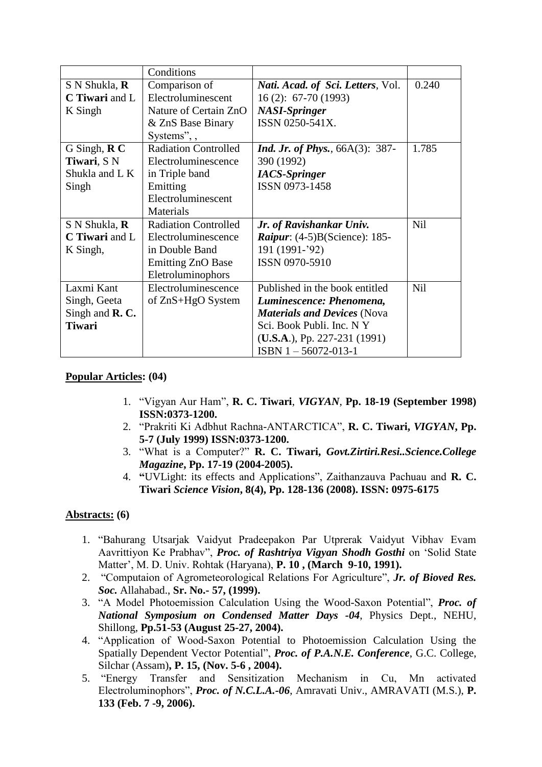|                                  | Conditions                  |                                            |            |
|----------------------------------|-----------------------------|--------------------------------------------|------------|
| S N Shukla, <b>R</b>             | Comparison of               | <i>Nati. Acad. of Sci. Letters, Vol.</i>   | 0.240      |
| C Tiwari and L                   | Electroluminescent          | $16(2): 67-70(1993)$                       |            |
| K Singh                          | Nature of Certain ZnO       | <b>NASI-Springer</b>                       |            |
|                                  | & ZnS Base Binary           | ISSN 0250-541X.                            |            |
|                                  | Systems", ,                 |                                            |            |
| G Singh, $\mathbf{R} \mathbf{C}$ | <b>Radiation Controlled</b> | <i>Ind. Jr. of Phys.</i> , $66A(3)$ : 387- | 1.785      |
| Tiwari, SN                       | Electroluminescence         | 390 (1992)                                 |            |
| Shukla and L K                   | in Triple band              | <b>IACS-Springer</b>                       |            |
| Singh                            | Emitting                    | ISSN 0973-1458                             |            |
|                                  | Electroluminescent          |                                            |            |
|                                  | Materials                   |                                            |            |
| S N Shukla, R                    | <b>Radiation Controlled</b> | Jr. of Ravishankar Univ.                   | <b>Nil</b> |
| C Tiwari and L                   | Electroluminescence         | <i>Raipur</i> : $(4-5)B(Science)$ : 185-   |            |
| K Singh,                         | in Double Band              | 191 (1991-'92)                             |            |
|                                  | <b>Emitting ZnO Base</b>    | ISSN 0970-5910                             |            |
|                                  | Eletroluminophors           |                                            |            |
| Laxmi Kant                       | Electroluminescence         | Published in the book entitled             | Nil        |
| Singh, Geeta                     | of ZnS+HgO System           | Luminescence: Phenomena,                   |            |
| Singh and $\mathbf{R}$ . C.      |                             | <b>Materials and Devices (Nova</b>         |            |
| <b>Tiwari</b>                    |                             | Sci. Book Publi. Inc. N Y                  |            |
|                                  |                             | $(U.S.A.), Pp. 227-231 (1991)$             |            |
|                                  |                             | $ISBN 1 - 56072 - 013 - 1$                 |            |

#### **Popular Articles: (04)**

- 1. "Vigyan Aur Ham", **R. C. Tiwari**, *VIGYAN*, **Pp. 18-19 (September 1998) ISSN:0373-1200.**
- 2. "Prakriti Ki Adbhut Rachna-ANTARCTICA", **R. C. Tiwari,** *VIGYAN***, Pp. 5-7 (July 1999) ISSN:0373-1200.**
- 3. "What is a Computer?" **R. C. Tiwari,** *Govt.Zirtiri.Resi..Science.College Magazine***, Pp. 17-19 (2004-2005).**
- 4. **"**UVLight: its effects and Applications", Zaithanzauva Pachuau and **R. C. Tiwari** *Science Vision***, 8(4), Pp. 128-136 (2008). ISSN: 0975-6175**

#### **Abstracts: (6)**

- 1. "Bahurang Utsarjak Vaidyut Pradeepakon Par Utprerak Vaidyut Vibhav Evam Aavrittiyon Ke Prabhav", *Proc. of Rashtriya Vigyan Shodh Gosthi* on 'Solid State Matter', M. D. Univ. Rohtak (Haryana), **P. 10 , (March 9-10, 1991).**
- 2. "Computaion of Agrometeorological Relations For Agriculture", *Jr. of Bioved Res. Soc.* Allahabad., **Sr. No.- 57, (1999).**
- 3. "A Model Photoemission Calculation Using the Wood-Saxon Potential", *Proc. of National Symposium on Condensed Matter Days -04*, Physics Dept., NEHU, Shillong, **Pp.51-53 (August 25-27, 2004).**
- 4. "Application of Wood-Saxon Potential to Photoemission Calculation Using the Spatially Dependent Vector Potential", *Proc. of P.A.N.E. Conference*, G.C. College, Silchar (Assam)**, P. 15, (Nov. 5-6 , 2004).**
- 5. "Energy Transfer and Sensitization Mechanism in Cu, Mn activated Electroluminophors", *Proc. of N.C.L.A.-06*, Amravati Univ., AMRAVATI (M.S.), **P. 133 (Feb. 7 -9, 2006).**